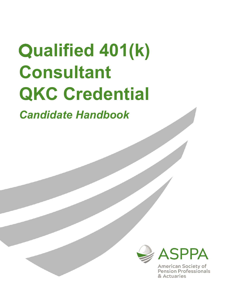# **Qualified 401(k) Consultant QKC Credential**

*Candidate Handbook*



**American Society of** Pension Professionals & Actuaries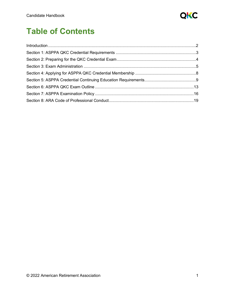

# **Table of Contents**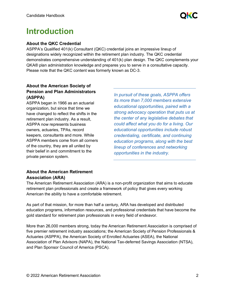

# <span id="page-2-0"></span>**Introduction**

#### **About the QKC Credential**

ASPPA's Qualified 401(k) Consultant (QKC) credential joins an impressive lineup of designations widely recognized within the retirement plan industry. The QKC credential demonstrates comprehensive understanding of 401(k) plan design. The QKC complements your QKA® plan administration knowledge and prepares you to serve in a consultative capacity. Please note that the QKC content was formerly known as DC-3.

# **About the American Society of Pension and Plan Administrators (ASPPA)**

ASPPA began in 1966 as an actuarial organization, but since that time we have changed to reflect the shifts in the retirement plan industry. As a result, ASPPA now represents business owners, actuaries, TPAs, record keepers, consultants and more. While ASPPA members come from all corners of the country, they are all united by their belief in and commitment to the private pension system.

*In pursuit of these goals, ASPPA offers its more than 7,000 members extensive educational opportunities, paired with a strong advocacy operation that puts us at the center of any legislative debates that could affect what you do for a living. Our educational opportunities include robust credentialing, certificate, and continuing education programs, along with the best lineup of conferences and networking opportunities in the industry.*

# **About the American Retirement Association (ARA)**

The American Retirement Association (ARA) is a non-profit organization that aims to educate retirement plan professionals and create a framework of policy that gives every working American the ability to have a comfortable retirement.

As part of that mission, for more than half a century, ARA has developed and distributed education programs, information resources, and professional credentials that have become the gold standard for retirement plan professionals in every field of endeavor.

More than 26,000 members strong, today the American Retirement Association is comprised of five premier retirement industry associations; the American Society of Pension Professionals & Actuaries (ASPPA), the American Society of Enrolled Actuaries (ASEA), the National Association of Plan Advisors (NAPA), the National Tax-deferred Savings Association (NTSA), and Plan Sponsor Council of America (PSCA).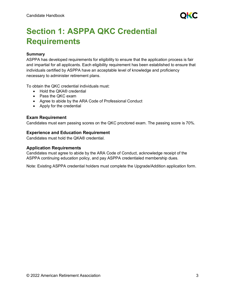

# <span id="page-3-0"></span>**Section 1: ASPPA QKC Credential Requirements**

#### **Summary**

ASPPA has developed requirements for eligibility to ensure that the application process is fair and impartial for all applicants. Each eligibility requirement has been established to ensure that individuals certified by ASPPA have an acceptable level of knowledge and proficiency necessary to administer retirement plans.

To obtain the QKC credential individuals must:

- Hold the QKA® credential
- Pass the QKC exam
- Agree to abide by the ARA Code of Professional Conduct
- Apply for the credential

#### **Exam Requirement**

Candidates must earn passing scores on the QKC proctored exam. The passing score is 70%.

#### **Experience and Education Requirement**

Candidates must hold the QKA® credential.

#### **Application Requirements**

Candidates must agree to abide by the ARA Code of Conduct, acknowledge receipt of the ASPPA continuing education policy, and pay ASPPA credentialed membership dues.

Note: Existing ASPPA credential holders must complete the Upgrade/Addition application form.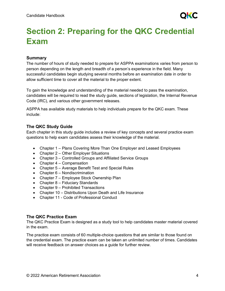

# <span id="page-4-0"></span>**Section 2: Preparing for the QKC Credential Exam**

### **Summary**

The number of hours of study needed to prepare for ASPPA examinations varies from person to person depending on the length and breadth of a person's experience in the field. Many successful candidates begin studying several months before an examination date in order to allow sufficient time to cover all the material to the proper extent.

To gain the knowledge and understanding of the material needed to pass the examination, candidates will be required to read the study guide, sections of legislation, the Internal Revenue Code (IRC), and various other government releases.

ASPPA has available study materials to help individuals prepare for the QKC exam. These include:

#### **The QKC Study Guide**

Each chapter in this study guide includes a review of key concepts and several practice exam questions to help exam candidates assess their knowledge of the material.

- Chapter 1 Plans Covering More Than One Employer and Leased Employees
- Chapter 2 Other Employer Situations
- Chapter 3 Controlled Groups and Affiliated Service Groups
- Chapter 4 Compensation
- Chapter 5 Average Benefit Test and Special Rules
- Chapter 6 Nondiscrimination
- Chapter 7 Employee Stock Ownership Plan
- Chapter 8 Fiduciary Standards
- Chapter 9 Prohibited Transactions
- Chapter 10 Distributions Upon Death and Life Insurance
- Chapter 11 Code of Professional Conduct

# **The QKC Practice Exam**

The QKC Practice Exam is designed as a study tool to help candidates master material covered in the exam.

The practice exam consists of 60 multiple-choice questions that are similar to those found on the credential exam. The practice exam can be taken an unlimited number of times. Candidates will receive feedback on answer choices as a guide for further review.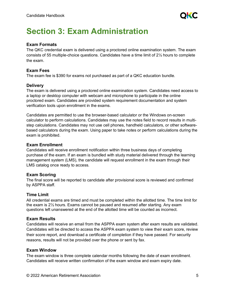# <span id="page-5-0"></span>**Section 3: Exam Administration**

#### **Exam Formats**

The QKC credential exam is delivered using a proctored online examination system. The exam consists of 55 multiple-choice questions. Candidates have a time limit of 2½ hours to complete the exam.

#### **Exam Fees**

The exam fee is \$390 for exams not purchased as part of a QKC education bundle.

#### **Delivery**

The exam is delivered using a proctored online examination system. Candidates need access to a laptop or desktop computer with webcam and microphone to participate in the online proctored exam. Candidates are provided system requirement documentation and system verification tools upon enrollment in the exams.

Candidates are permitted to use the browser-based calculator or the Windows on-screen calculator to perform calculations. Candidates may use the notes field to record results in multistep calculations. Candidates may not use cell phones, handheld calculators, or other softwarebased calculators during the exam. Using paper to take notes or perform calculations during the exam is prohibited.

#### **Exam Enrollment**

Candidates will receive enrollment notification within three business days of completing purchase of the exam. If an exam is bundled with study material delivered through the learning management system (LMS), the candidate will request enrollment in the exam through their LMS catalog once ready to access.

#### **Exam Scoring**

The final score will be reported to candidate after provisional score is reviewed and confirmed by ASPPA staff.

#### **Time Limit**

All credential exams are timed and must be completed within the allotted time. The time limit for the exam is 2½ hours. Exams cannot be paused and resumed after starting. Any exam questions left unanswered at the end of the allotted time will be counted as incorrect.

#### **Exam Results**

Candidates will receive an email from the ASPPA exam system after exam results are validated. Candidates will be directed to access the ASPPA exam system to view their exam score, review their score report, and download a certificate of completion if they have passed. For security reasons, results will not be provided over the phone or sent by fax.

#### **Exam Window**

The exam window is three complete calendar months following the date of exam enrollment. Candidates will receive written confirmation of the exam window and exam expiry date.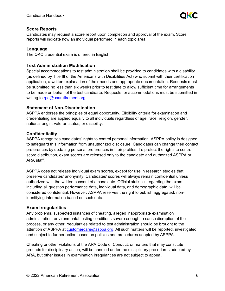

#### **Score Reports**

Candidates may request a score report upon completion and approval of the exam. Score reports will indicate how an individual performed in each topic area.

#### **Language**

The QKC credential exam is offered in English.

#### **Test Administration Modification**

Special accommodations to test administration shall be provided to candidates with a disability (as defined by Title III of the Americans with Disabilities Act) who submit with their certification application, a written explanation of their needs and appropriate documentation. Requests must be submitted no less than six weeks prior to test date to allow sufficient time for arrangements to be made on behalf of the test candidate. Requests for accommodations must be submitted in writing to [rpa@usaretirement.org.](mailto:rpa@usaretirement.org)

#### **Statement of Non-Discrimination**

ASPPA endorses the principles of equal opportunity. Eligibility criteria for examination and credentialing are applied equally to all individuals regardless of age, race, religion, gender, national origin, veteran status, or disability.

#### **Confidentiality**

ASPPA recognizes candidates' rights to control personal information. ASPPA policy is designed to safeguard this information from unauthorized disclosure. Candidates can change their contact preferences by updating personal preferences in their profiles. To protect the rights to control score distribution, exam scores are released only to the candidate and authorized ASPPA or ARA staff.

ASPPA does not release individual exam scores, except for use in research studies that preserve candidates' anonymity. Candidates' scores will always remain confidential unless authorized with the written consent of a candidate. Official statistics regarding the exam, including all question performance data, individual data, and demographic data, will be considered confidential. However, ASPPA reserves the right to publish aggregated, nonidentifying information based on such data.

#### **Exam Irregularities**

Any problems, suspected instances of cheating, alleged inappropriate examination administration, environmental testing conditions severe enough to cause disruption of the process, or any other irregularities related to test administration should be brought to the attention of ASPPA at [customercare@asppa.org.](mailto:customercare@asppa.org) All such matters will be reported, investigated and subject to further action based on policies and procedures adopted by ASPPA.

Cheating or other violations of the ARA Code of Conduct, or matters that may constitute grounds for disciplinary action, will be handled under the disciplinary procedures adopted by ARA, but other issues in examination irregularities are not subject to appeal.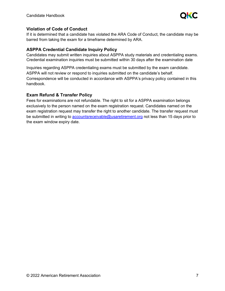

#### **Violation of Code of Conduct**

If it is determined that a candidate has violated the ARA Code of Conduct, the candidate may be barred from taking the exam for a timeframe determined by ARA.

#### **ASPPA Credential Candidate Inquiry Policy**

Candidates may submit written inquiries about ASPPA study materials and credentialing exams. Credential examination inquiries must be submitted within 30 days after the examination date

Inquiries regarding ASPPA credentialing exams must be submitted by the exam candidate. ASPPA will not review or respond to inquiries submitted on the candidate's behalf. Correspondence will be conducted in accordance with ASPPA's privacy policy contained in this handbook.

# **Exam Refund & Transfer Policy**

Fees for examinations are not refundable. The right to sit for a ASPPA examination belongs exclusively to the person named on the exam registration request. Candidates named on the exam registration request may transfer the right to another candidate. The transfer request must be submitted in writing to [accountsreceivable@usaretirement.org](mailto:accountsreceivable@usaretirement.org) not less than 15 days prior to the exam window expiry date.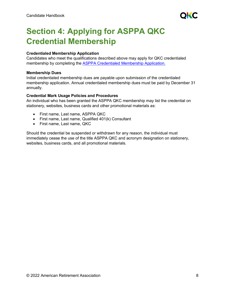

# <span id="page-8-0"></span>**Section 4: Applying for ASPPA QKC Credential Membership**

#### **Credentialed Membership Application**

Candidates who meet the qualifications described above may apply for QKC credentialed membership by completing the ASPPA Credentialed [Membership Application.](https://www.asppa.org/sites/asppa.org/files/PDFs/Membership_Applications/ASPPA_CredentialedMember_App.pdf)

#### **Membership Dues**

Initial credentialed membership dues are payable upon submission of the credentialed membership application. Annual credentialed membership dues must be paid by December 31 annually.

#### **Credential Mark Usage Policies and Procedures**

An individual who has been granted the ASPPA QKC membership may list the credential on stationery, websites, business cards and other promotional materials as:

- First name, Last name, ASPPA QKC
- First name, Last name, Qualified 401(k) Consultant
- First name, Last name, QKC

Should the credential be suspended or withdrawn for any reason, the individual must immediately cease the use of the title ASPPA QKC and acronym designation on stationery, websites, business cards, and all promotional materials.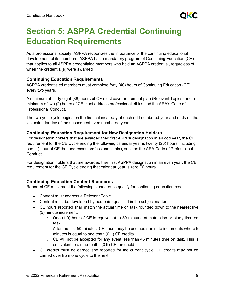

# <span id="page-9-0"></span>**Section 5: ASPPA Credential Continuing Education Requirements**

As a professional society, ASPPA recognizes the importance of the continuing educational development of its members. ASPPA has a mandatory program of Continuing Education (CE) that applies to all ASPPA credentialed members who hold an ASPPA credential, regardless of when the credential(s) were awarded.

#### **Continuing Education Requirements**

ASPPA credentialed members must complete forty (40) hours of Continuing Education (CE) every two years.

A minimum of thirty-eight (38) hours of CE must cover retirement plan (Relevant Topics) and a minimum of two (2) hours of CE must address professional ethics and the ARA's Code of Professional Conduct.

The two-year cycle begins on the first calendar day of each odd numbered year and ends on the last calendar day of the subsequent even numbered year.

#### **Continuing Education Requirement for New Designation Holders**

For designation holders that are awarded their first ASPPA designation in an odd year, the CE requirement for the CE Cycle ending the following calendar year is twenty (20) hours, including one (1) hour of CE that addresses professional ethics, such as the ARA Code of Professional Conduct.

For designation holders that are awarded their first ASPPA designation in an even year, the CE requirement for the CE Cycle ending that calendar year is zero (0) hours.

# **Continuing Education Content Standards**

Reported CE must meet the following standards to qualify for continuing education credit:

- Content must address a Relevant Topic
- Content must be developed by person(s) qualified in the subject matter.
- CE hours reported shall match the actual time on task rounded down to the nearest five (5) minute increment.
	- $\circ$  One (1.0) hour of CE is equivalent to 50 minutes of instruction or study time on task
	- $\circ$  After the first 50 minutes, CE hours may be accrued 5-minute increments where 5 minutes is equal to one tenth (0.1) CE credits.
	- $\circ$  CE will not be accepted for any event less than 45 minutes time on task. This is equivalent to a nine-tenths (0.9) CE threshold.
- CE credits must be earned and reported for the current cycle. CE credits may not be carried over from one cycle to the next.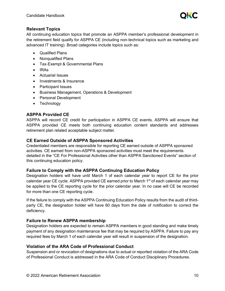

#### **Relevant Topics**

All continuing education topics that promote an ASPPA member's professional development in the retirement field qualify for ASPPA CE (including non‐technical topics such as marketing and advanced IT training). Broad categories include topics such as:

- Qualified Plans
- Nonqualified Plans
- Tax‐Exempt & Governmental Plans
- IRAs
- Actuarial Issues
- Investments & Insurance
- Participant Issues
- Business Management, Operations & Development
- Personal Development
- Technology

# **ASPPA Provided CE**

ASPPA will record CE credit for participation in ASPPA CE events. ASPPA will ensure that ASPPA provided CE meets both continuing education content standards and addresses retirement plan related acceptable subject matter.

#### **CE Earned Outside of ASPPA Sponsored Activities**

Credentialed members are responsible for reporting CE earned outside of ASPPA sponsored activities. CE earned from non-ASPPA sponsored activities must meet the requirements detailed in the "CE For Professional Activities other than ASPPA Sanctioned Events" section of this continuing education policy.

# **Failure to Comply with the ASPPA Continuing Education Policy**

Designation holders will have until March 1 of each calendar year to report CE for the prior calendar year CE cycle. ASPPA provided CE earned prior to March  $1<sup>st</sup>$  of each calendar year may be applied to the CE reporting cycle for the prior calendar year. In no case will CE be recorded for more than one CE reporting cycle.

If the failure to comply with the ASPPA Continuing Education Policy results from the audit of thirdparty CE, the designation holder will have 60 days from the date of notification to correct the deficiency.

#### **Failure to Renew ASPPA membership**

Designation holders are expected to remain ASPPA members in good standing and make timely payment of any designation maintenance fee that may be required by ASPPA. Failure to pay any required fees by March 1 of each calendar year will result in suspension of the designation.

# **Violation of the ARA Code of Professional Conduct**

Suspension and or revocation of designations due to actual or reported violation of the ARA Code of Professional Conduct is addressed in the ARA Code of Conduct Disciplinary Procedures.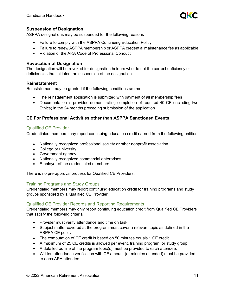

#### **Suspension of Designation**

ASPPA designations may be suspended for the following reasons

- Failure to comply with the ASPPA Continuing Education Policy
- Failure to renew ASPPA membership or ASPPA credential maintenance fee as applicable
- Violation of the ARA Code of Professional Conduct

#### **Revocation of Designation**

The designation will be revoked for designation holders who do not the correct deficiency or deficiencies that initiated the suspension of the designation.

#### **Reinstatement**

Reinstatement may be granted if the following conditions are met:

- The reinstatement application is submitted with payment of all membership fees
- Documentation is provided demonstrating completion of required 40 CE (including two Ethics) in the 24 months preceding submission of the application

#### **CE For Professional Activities other than ASPPA Sanctioned Events**

#### Qualified CE Provider

Credentialed members may report continuing education credit earned from the following entities

- Nationally recognized professional society or other nonprofit association
- College or university
- Government agency
- Nationally recognized commercial enterprises
- Employer of the credentialed members

There is no pre‐approval process for Qualified CE Providers.

#### Training Programs and Study Groups

Credentialed members may report continuing education credit for training programs and study groups sponsored by a Qualified CE Provider.

#### Qualified CE Provider Records and Reporting Requirements

Credentialed members may only report continuing education credit from Qualified CE Providers that satisfy the following criteria:

- Provider must verify attendance and time on task.
- Subject matter covered at the program must cover a relevant topic as defined in the ASPPA CE policy.
- The computation of CE credit is based on 50 minutes equals 1 CE credit.
- A maximum of 25 CE credits is allowed per event, training program, or study group.
- A detailed outline of the program topic(s) must be provided to each attendee.
- Written attendance verification with CE amount (or minutes attended) must be provided to each ARA attendee.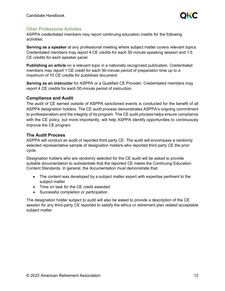

#### Other Professional Activities

ASPPA credentialed members may report continuing education credits for the following activities:

**Serving as a speaker** at any professional meeting where subject matter covers relevant topics. Credentialed members may report 4 CE credits for each 50‐minute speaking session and 1.5 CE credits for each speaker panel.

**Publishing an article** on a relevant topic in a nationally recognized publication. Credentialed members may report 1 CE credit for each 50-minute period of preparation time up to a maximum of 10 CE credits for published document.

**Serving as an instructor** for ASPPA or a Qualified CE Provider. Credentialed members may report 4 CE credits for each 50‐minute period of instruction.

#### **Compliance and Audit**

The audit of CE earned outside of ASPPA sanctioned events is conducted for the benefit of all ASPPA designation holders. The CE audit process demonstrates ASPPA's ongoing commitment to professionalism and the integrity of its program. The CE audit process helps ensure compliance with the CE policy, but more importantly, will help ASPPA identify opportunities to continuously improve the CE program.

#### **The Audit Process**

ASPPA will conduct an audit of reported third party CE. The audit will encompass a randomly selected representative sample of designation holders who reported third party CE the prior cycle.

Designation holders who are randomly selected for the CE audit will be asked to provide suitable documentation to substantiate that the reported CE meets the Continuing Education Content Standards. In general, the documentation must demonstrate that:

- The content was developed by a subject matter expert with expertise pertinent to the subject matter
- Time on task for the CE credit awarded
- Successful completion or participation

The designation holder subject to audit will also be asked to provide a description of the CE session for any third-party CE reported to satisfy the ethics or retirement plan related acceptable subject matter.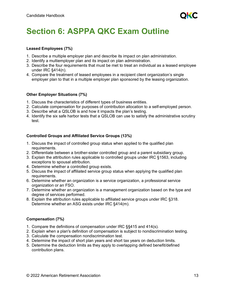

# <span id="page-13-0"></span>**Section 6: ASPPA QKC Exam Outline**

#### **Leased Employees (7%)**

- 1. Describe a multiple employer plan and describe its impact on plan administration.
- 2. Identify a multiemployer plan and its impact on plan administration.
- 3. Describe the four requirements that must be met to treat an individual as a leased employee under IRC §414(n).
- 4. Compare the treatment of leased employees in a recipient client organization's single employer plan to that in a multiple employer plan sponsored by the leasing organization.

#### **Other Employer Situations (7%)**

- 1. Discuss the characteristics of different types of business entities.
- 2. Calculate compensation for purposes of contribution allocation to a self-employed person.
- 3. Describe what a QSLOB is and how it impacts the plan's testing.
- 4. Identify the six safe harbor tests that a QSLOB can use to satisfy the administrative scrutiny test.

#### **Controlled Groups and Affiliated Service Groups (13%)**

- 1. Discuss the impact of controlled group status when applied to the qualified plan requirements.
- 2. Differentiate between a brother-sister controlled group and a parent subsidiary group.
- 3. Explain the attribution rules applicable to controlled groups under IRC §1563, including exceptions to spousal attribution.
- 4. Determine whether a controlled group exists.
- 5. Discuss the impact of affiliated service group status when applying the qualified plan requirements.
- 6. Determine whether an organization is a service organization, a professional service organization or an FSO.
- 7. Determine whether an organization is a management organization based on the type and degree of services performed.
- 8. Explain the attribution rules applicable to affiliated service groups under IRC §318. Determine whether an ASG exists under IRC §414(m).

#### **Compensation (7%)**

- 1. Compare the definitions of compensation under IRC §§415 and 414(s).
- 2. Explain when a plan's definition of compensation is subject to nondiscrimination testing.
- 3. Calculate the compensation nondiscrimination test.
- 4. Determine the impact of short plan years and short tax years on deduction limits.
- 5. Determine the deduction limits as they apply to overlapping defined benefit/defined contribution plans.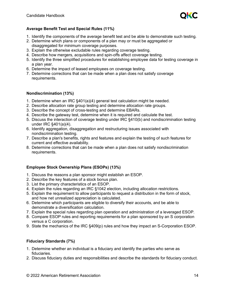

#### **Average Benefit Test and Special Rules (11%)**

- 1. Identify the components of the average benefit test and be able to demonstrate such testing.
- 2. Determine which plans or components of a plan may or must be aggregated or disaggregated for minimum coverage purposes.
- 3. Explain the otherwise excludable rules regarding coverage testing.
- 4. Describe how mergers, acquisitions and spin-offs affect coverage testing.
- 5. Identify the three simplified procedures for establishing employee data for testing coverage in a plan year.
- 6. Determine the impact of leased employees on coverage testing.
- 7. Determine corrections that can be made when a plan does not satisfy coverage requirements.

#### **Nondiscrimination (13%)**

- 1. Determine when an IRC §401(a)(4) general test calculation might be needed.
- 2. Describe allocation rate group testing and determine allocation rate groups.
- 3. Describe the concept of cross-testing and determine EBARs.
- 4. Describe the gateway test, determine when it is required and calculate the test.
- 5. Discuss the interaction of coverage testing under IRC §410(b) and nondiscrimination testing under IRC §401(a)(4).
- 6. Identify aggregation, disaggregation and restructuring issues associated with nondiscrimination testing.
- 7. Describe a plan's benefits, rights and features and explain the testing of such features for current and effective availability.
- 8. Determine corrections that can be made when a plan does not satisfy nondiscrimination requirements.

#### **Employee Stock Ownership Plans (ESOPs) (13%)**

- 1. Discuss the reasons a plan sponsor might establish an ESOP.
- 2. Describe the key features of a stock bonus plan.
- 3. List the primary characteristics of an ESOP.
- 4. Explain the rules regarding an IRC §1042 election, including allocation restrictions.
- 5. Explain the requirement to allow participants to request a distribution in the form of stock, and how net unrealized appreciation is calculated.
- 6. Determine which participants are eligible to diversify their accounts, and be able to demonstrate a diversification calculation.
- 7. Explain the special rules regarding plan operation and administration of a leveraged ESOP.
- 8. Compare ESOP rules and reporting requirements for a plan sponsored by an S corporation versus a C corporation.
- 9. State the mechanics of the IRC §409(p) rules and how they impact an S-Corporation ESOP.

#### **Fiduciary Standards (7%)**

- 1. Determine whether an individual is a fiduciary and identify the parties who serve as fiduciaries.
- 2. Discuss fiduciary duties and responsibilities and describe the standards for fiduciary conduct.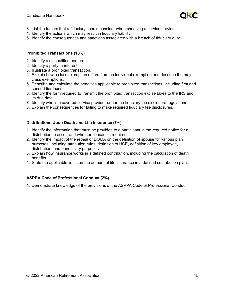

- 3. List the factors that a fiduciary should consider when choosing a service provider.
- 4. Identify the actions which may result in fiduciary liability.
- 5. Identify the consequences and sanctions associated with a breach of fiduciary duty.

#### **Prohibited Transactions (13%)**

- 1. Identify a disqualified person.
- 2. Identify a party-in-interest.
- 3. Illustrate a prohibited transaction.
- 4. Explain how a class exemption differs from an individual exemption and describe the major class exemptions.
- 5. Describe and calculate the penalties applicable to prohibited transactions, including first and second tier taxes.
- 6. Identify the form required to transmit the prohibited transaction excise taxes to the IRS and its due date.
- 7. Identify who is a covered service provider under the fiduciary fee disclosure regulations.
- 8. Explain the consequences for failing to make required fiduciary fee disclosures.

#### **Distributions Upon Death and Life Insurance (7%)**

- 1. Identify the information that must be provided to a participant in the required notice for a distribution to occur, and whether consent is required.
- 2. Identify the impact of the repeal of DOMA on the definition of spouse for various plan purposes, including attribution rules, definition of HCE, definition of key employee, distribution, and beneficiary purposes.
- 3. Explain how insurance works in a defined contribution, including the calculation of death benefits.
- 4. State the applicable limits on the amount of life insurance in a defined contribution plan.

# **ASPPA Code of Professional Conduct (2%)**

1. Demonstrate knowledge of the provisions of the ASPPA Code of Professional Conduct.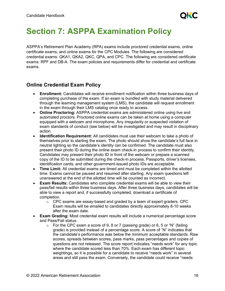# <span id="page-16-0"></span>**Section 7: ASPPA Examination Policy**

ASPPA's Retirement Plan Academy (RPA) exams include proctored credential exams, online certificate exams, and online exams for the CPC Modules. The following are considered credential exams: QKA1, QKA2, QKC, QPA, and CPC. The following are considered certificate exams: RPF and DB-A. The exam policies and requirements differ for credential and certificate exams.

# **Online Credential Exam Policy**

- **Enrollment:** Candidates will receive enrollment notification within three business days of completing purchase of the exam. If an exam is bundled with study material delivered through the learning management system (LMS), the candidate will request enrollment in the exam through their LMS catalog once ready to access.
- **Online Proctoring:** ASPPA credential exams are administered online using live and automated proctors. Proctored online exams can be taken at home using a computer equipped with a webcam and microphone. Any irregularity or suspected violation of exam standards of conduct (see below) will be investigated and may result in disciplinary action.
- **Identification Requirement:** All candidates must use their webcam to take a photo of themselves prior to starting the exam. The photo should show the candidate's full face in neutral lighting so the candidate's identity can be confirmed. The candidate must also present their photo ID during the online exam check-in process to confirm their identity. Candidates may present their photo ID in front of the webcam or prepare a scanned copy of the ID to be submitted during the check-in process. Passports, driver's licenses, identification cards, and other government-issued photo IDs are acceptable.
- **Time Limit:** All credential exams are timed and must be completed within the allotted time. Exams cannot be paused and resumed after starting. Any exam questions left unanswered at the end of the allotted time will be counted as incorrect.
- **Exam Results:** Candidates who complete credential exams will be able to view their pass/fail results within three business days. After three business days, candidates will be able to view a report and, if successfully completed, download a certificate of completion.
	- $\circ$  CPC exams are essay-based and graded by a team of expert graders. CPC Exam results will be emailed to candidates directly approximately 8-10 weeks after the exam date.
- **Exam Grading:** Most credential exam results will include a numerical percentage score and Pass/Fail status.
	- $\circ$  For the CPC exam a score of 9, 8 or 7 (passing grade) or 6, 5 or "N" (failing grade) is provided instead of a percentage score. A score of "N" indicates that the candidate's performance was below the minimum acceptable standards. Raw scores, spreads between scores, pass marks, pass percentages and copies of questions are not released. The score report indicates "needs work" for any topic where the candidate scored less than 70%. Each exam has different topic weightings, so it is possible for a candidate to receive "needs work" in several areas and still pass the exam. Conversely, the candidate could receive "needs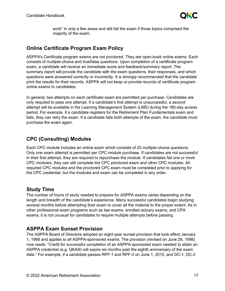

work" in only a few areas and still fail the exam if those topics comprised the majority of the exam.

# **Online Certificate Program Exam Policy**

ASPPA's Certificate program exams are not proctored. They are open-book online exams. Each consists of multiple-choice and true/false questions. Upon completion of a certificate program exam, a candidate will receive an immediate score and feedback/summary report. The summary report will provide the candidate with the exam questions, their responses, and which questions were answered correctly or incorrectly. It is strongly recommended that the candidate print the results for their records. ASPPA will not keep or provide records of certificate program online exams to candidates.

In general, two attempts on each certificate exam are permitted per purchase. Candidates are only required to pass one attempt. If a candidate's first attempt is unsuccessful, a second attempt will be available in the Learning Management System (LMS) during the 180-day access period. For example, if a candidate registers for the Retirement Plan Fundamentals exam and fails, they can retry the exam. If a candidate fails both attempts of the exam, the candidate must purchase the exam again.

# **CPC (Consulting) Modules**

Each CPC module includes an online exam which consists of 20 multiple-choice questions. Only one exam attempt is permitted per CPC module purchase. If candidates are not successful in their first attempt, they are required to repurchase the module. If candidates fail one or more CPC modules, they can still complete the CPC proctored exam and other CPC modules. All required CPC modules and the proctored CPC exam must be completed prior to applying for the CPC credential, but the modules and exam can be completed in any order.

# **Study Time**

The number of hours of study needed to prepare for ASPPA exams varies depending on the length and breadth of the candidate's experience. Many successful candidates begin studying several months before attempting their exam to cover all the material to the proper extent. As in other professional exam programs such as law exams, enrolled actuary exams, and CPA exams, it is not unusual for candidates to require multiple attempts before passing.

# **ASPPA Exam Sunset Provision**

The ASPPA Board of Directors adopted an eight-year sunset provision that took effect January 1, 1998 and applies to all ASPPA-sponsored exams. The provision (revised on June 28, 1998) now reads: "Credit for successful completion of an ASPPA-sponsored exam needed to attain an ASPPA credential (e.g. QKA®) will expire six months past the eighth anniversary of the exam date." For example, if a candidate passes RPF-1 and RPF-2 on June 1, 2015, and DC-1, DC-2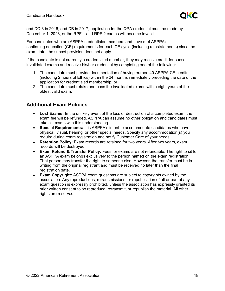

and DC-3 in 2016, and DB in 2017, application for the QPA credential must be made by December 1, 2023, or the RPF-1 and RPF-2 exams will become invalid.

For candidates who are ASPPA credentialed members and have met ASPPA's continuing education (CE) requirements for each CE cycle (including reinstatements) since the exam date, the sunset provision does not apply.

If the candidate is not currently a credentialed member, they may receive credit for sunsetinvalidated exams and receive his/her credential by completing one of the following:

- 1. The candidate must provide documentation of having earned 40 ASPPA CE credits (including 2 hours of Ethics) within the 24 months immediately preceding the date of the application for credentialed membership; or
- 2. The candidate must retake and pass the invalidated exams within eight years of the oldest valid exam.

# **Additional Exam Policies**

- **Lost Exams:** In the unlikely event of the loss or destruction of a completed exam, the exam fee will be refunded. ASPPA can assume no other obligation and candidates must take all exams with this understanding.
- **Special Requirements:** It is ASPPA's intent to accommodate candidates who have physical, visual, hearing, or other special needs. Specify any accommodation(s) you require during exam registration and notify Customer Care of your needs.
- **Retention Policy:** Exam records are retained for two years. After two years, exam records will be destroyed.
- **Exam Refund & Transfer Policy:** Fees for exams are not refundable. The right to sit for an ASPPA exam belongs exclusively to the person named on the exam registration. That person may transfer the right to someone else. However, the transfer must be in writing from the original registrant and must be received no later than the final registration date.
- **Exam Copyright:** ASPPA exam questions are subject to copyrights owned by the association. Any reproductions, retransmissions, or republication of all or part of any exam question is expressly prohibited, unless the association has expressly granted its prior written consent to so reproduce, retransmit, or republish the material. All other rights are reserved.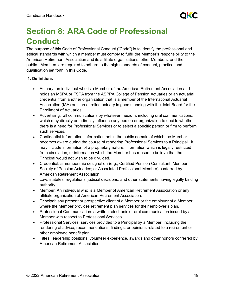

# <span id="page-19-0"></span>**Section 8: ARA Code of Professional Conduct**

The purpose of this Code of Professional Conduct ("Code") is to identify the professional and ethical standards with which a member must comply to fulfill the Member's responsibility to the American Retirement Association and its affiliate organizations, other Members, and the public. Members are required to adhere to the high standards of conduct, practice, and qualification set forth in this Code.

#### **1. Definitions**

- Actuary: an individual who is a Member of the American Retirement Association and holds an MSPA or FSPA from the ASPPA College of Pension Actuaries or an actuarial credential from another organization that is a member of the International Actuarial Association (IAA) or is an enrolled actuary in good standing with the Joint Board for the Enrollment of Actuaries.
- Advertising: all communications by whatever medium, including oral communications, which may directly or indirectly influence any person or organization to decide whether there is a need for Professional Services or to select a specific person or firm to perform such services.
- Confidential Information: information not in the public domain of which the Member becomes aware during the course of rendering Professional Services to a Principal. It may include information of a proprietary nature, information which is legally restricted from circulation, or information which the Member has reason to believe that the Principal would not wish to be divulged.
- Credential: a membership designation (e.g., Certified Pension Consultant; Member, Society of Pension Actuaries; or Associated Professional Member) conferred by American Retirement Association.
- Law: statutes, regulations, judicial decisions, and other statements having legally binding authority.
- Member: An individual who is a Member of American Retirement Association or any affiliate organization of American Retirement Association.
- Principal: any present or prospective client of a Member or the employer of a Member where the Member provides retirement plan services for their employer's plan.
- Professional Communication: a written, electronic or oral communication issued by a Member with respect to Professional Services.
- Professional Services: services provided to a Principal by a Member, including the rendering of advice, recommendations, findings, or opinions related to a retirement or other employee benefit plan.
- Titles: leadership positions, volunteer experience, awards and other honors conferred by American Retirement Association.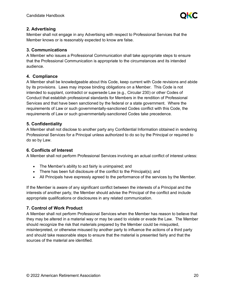

#### **2. Advertising**

Member shall not engage in any Advertising with respect to Professional Services that the Member knows or is reasonably expected to know are false.

### **3. Communications**

A Member who issues a Professional Communication shall take appropriate steps to ensure that the Professional Communication is appropriate to the circumstances and its intended audience.

# **4. Compliance**

A Member shall be knowledgeable about this Code, keep current with Code revisions and abide by its provisions. Laws may impose binding obligations on a Member. This Code is not intended to supplant, contradict or supersede Law (e.g., Circular 230) or other Codes of Conduct that establish professional standards for Members in the rendition of Professional Services and that have been sanctioned by the federal or a state government. Where the requirements of Law or such governmentally-sanctioned Codes conflict with this Code, the requirements of Law or such governmentally-sanctioned Codes take precedence.

# **5. Confidentiality**

A Member shall not disclose to another party any Confidential Information obtained in rendering Professional Services for a Principal unless authorized to do so by the Principal or required to do so by Law.

# **6. Conflicts of Interest**

A Member shall not perform Professional Services involving an actual conflict of interest unless:

- The Member's ability to act fairly is unimpaired; and
- There has been full disclosure of the conflict to the Principal(s); and
- All Principals have expressly agreed to the performance of the services by the Member.

If the Member is aware of any significant conflict between the interests of a Principal and the interests of another party, the Member should advise the Principal of the conflict and include appropriate qualifications or disclosures in any related communication.

# **7. Control of Work Product**

A Member shall not perform Professional Services when the Member has reason to believe that they may be altered in a material way or may be used to violate or evade the Law. The Member should recognize the risk that materials prepared by the Member could be misquoted, misinterpreted, or otherwise misused by another party to influence the actions of a third party and should take reasonable steps to ensure that the material is presented fairly and that the sources of the material are identified.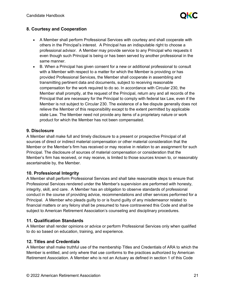

# **8. Courtesy and Cooperation**

- A Member shall perform Professional Services with courtesy and shall cooperate with others in the Principal's interest. A Principal has an indisputable right to choose a professional advisor. A Member may provide service to any Principal who requests it even though such Principal is being or has been served by another professional in the same manner.
- B. When a Principal has given consent for a new or additional professional to consult with a Member with respect to a matter for which the Member is providing or has provided Professional Services, the Member shall cooperate in assembling and transmitting pertinent data and documents, subject to receiving reasonable compensation for the work required to do so. In accordance with Circular 230, the Member shall promptly, at the request of the Principal, return any and all records of the Principal that are necessary for the Principal to comply with federal tax Law, even if the Member is not subject to Circular 230. The existence of a fee dispute generally does not relieve the Member of this responsibility except to the extent permitted by applicable state Law. The Member need not provide any items of a proprietary nature or work product for which the Member has not been compensated.

#### **9. Disclosure**

A Member shall make full and timely disclosure to a present or prospective Principal of all sources of direct or indirect material compensation or other material consideration that the Member or the Member's firm has received or may receive in relation to an assignment for such Principal. The disclosure of sources of material compensation or consideration that the Member's firm has received, or may receive, is limited to those sources known to, or reasonably ascertainable by, the Member.

#### **10. Professional Integrity**

A Member shall perform Professional Services and shall take reasonable steps to ensure that Professional Services rendered under the Member's supervision are performed with honesty, integrity, skill, and care. A Member has an obligation to observe standards of professional conduct in the course of providing advice, recommendations and other services performed for a Principal. A Member who pleads guilty to or is found guilty of any misdemeanor related to financial matters or any felony shall be presumed to have contravened this Code and shall be subject to American Retirement Association's counseling and disciplinary procedures.

#### **11. Qualification Standards**

A Member shall render opinions or advice or perform Professional Services only when qualified to do so based on education, training, and experience.

#### **12. Titles and Credentials**

A Member shall make truthful use of the membership Titles and Credentials of ARA to which the Member is entitled, and only where that use conforms to the practices authorized by American Retirement Association. A Member who is not an Actuary as defined in section 1 of this Code